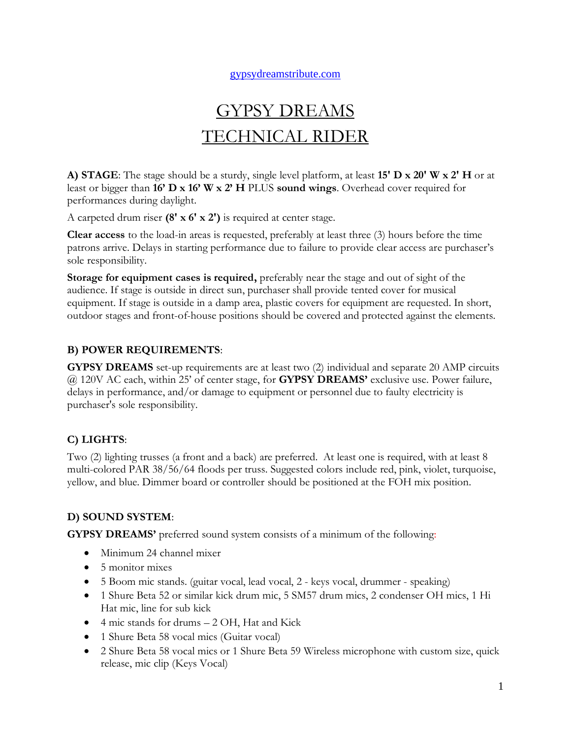#### [gypsydreamstribute.com](http://www.gypsytribute.com/)

# GYPSY DREAMS TECHNICAL RIDER

**A) STAGE**: The stage should be a sturdy, single level platform, at least **15' D x 20' W x 2' H** or at least or bigger than **16' D x 16' W x 2' H** PLUS **sound wings**. Overhead cover required for performances during daylight.

A carpeted drum riser **(8' x 6' x 2')** is required at center stage.

**Clear access** to the load-in areas is requested, preferably at least three (3) hours before the time patrons arrive. Delays in starting performance due to failure to provide clear access are purchaser's sole responsibility.

**Storage for equipment cases is required,** preferably near the stage and out of sight of the audience. If stage is outside in direct sun, purchaser shall provide tented cover for musical equipment. If stage is outside in a damp area, plastic covers for equipment are requested. In short, outdoor stages and front-of-house positions should be covered and protected against the elements.

## **B) POWER REQUIREMENTS**:

**GYPSY DREAMS** set-up requirements are at least two (2) individual and separate 20 AMP circuits @ 120V AC each, within 25' of center stage, for **GYPSY DREAMS'** exclusive use. Power failure, delays in performance, and/or damage to equipment or personnel due to faulty electricity is purchaser's sole responsibility.

## **C) LIGHTS**:

Two (2) lighting trusses (a front and a back) are preferred. At least one is required, with at least 8 multi-colored PAR 38/56/64 floods per truss. Suggested colors include red, pink, violet, turquoise, yellow, and blue. Dimmer board or controller should be positioned at the FOH mix position.

## **D) SOUND SYSTEM**:

**GYPSY DREAMS'** preferred sound system consists of a minimum of the following:

- Minimum 24 channel mixer
- 5 monitor mixes
- 5 Boom mic stands. (guitar vocal, lead vocal, 2 keys vocal, drummer speaking)
- 1 Shure Beta 52 or similar kick drum mic, 5 SM57 drum mics, 2 condenser OH mics, 1 Hi Hat mic, line for sub kick
- 4 mic stands for drums 2 OH, Hat and Kick
- 1 Shure Beta 58 vocal mics (Guitar vocal)
- 2 Shure Beta 58 vocal mics or 1 Shure Beta 59 Wireless microphone with custom size, quick release, mic clip (Keys Vocal)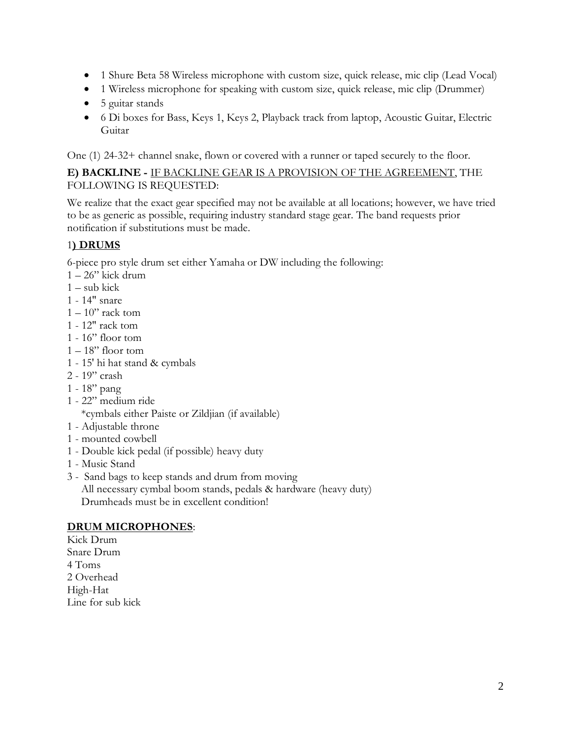- 1 Shure Beta 58 Wireless microphone with custom size, quick release, mic clip (Lead Vocal)
- 1 Wireless microphone for speaking with custom size, quick release, mic clip (Drummer)
- 5 guitar stands
- 6 Di boxes for Bass, Keys 1, Keys 2, Playback track from laptop, Acoustic Guitar, Electric Guitar

One (1) 24-32+ channel snake, flown or covered with a runner or taped securely to the floor.

#### **E) BACKLINE -** IF BACKLINE GEAR IS A PROVISION OF THE AGREEMENT, THE FOLLOWING IS REQUESTED:

We realize that the exact gear specified may not be available at all locations; however, we have tried to be as generic as possible, requiring industry standard stage gear. The band requests prior notification if substitutions must be made.

## 1**) DRUMS**

6-piece pro style drum set either Yamaha or DW including the following:

- $1 26$ " kick drum
- $1 sub$  kick
- 1 14" snare
- $1 10$ " rack tom
- 1 12" rack tom
- 1 16" floor tom
- $1 18$ " floor tom
- 1 15' hi hat stand & cymbals
- 2 19" crash
- 1 18" pang
- 1 22" medium ride

\*cymbals either Paiste or Zildjian (if available)

- 1 Adjustable throne
- 1 mounted cowbell
- 1 Double kick pedal (if possible) heavy duty
- 1 Music Stand
- 3 Sand bags to keep stands and drum from moving

 All necessary cymbal boom stands, pedals & hardware (heavy duty) Drumheads must be in excellent condition!

## **DRUM MICROPHONES**:

Kick Drum Snare Drum 4 Toms 2 Overhead High-Hat Line for sub kick